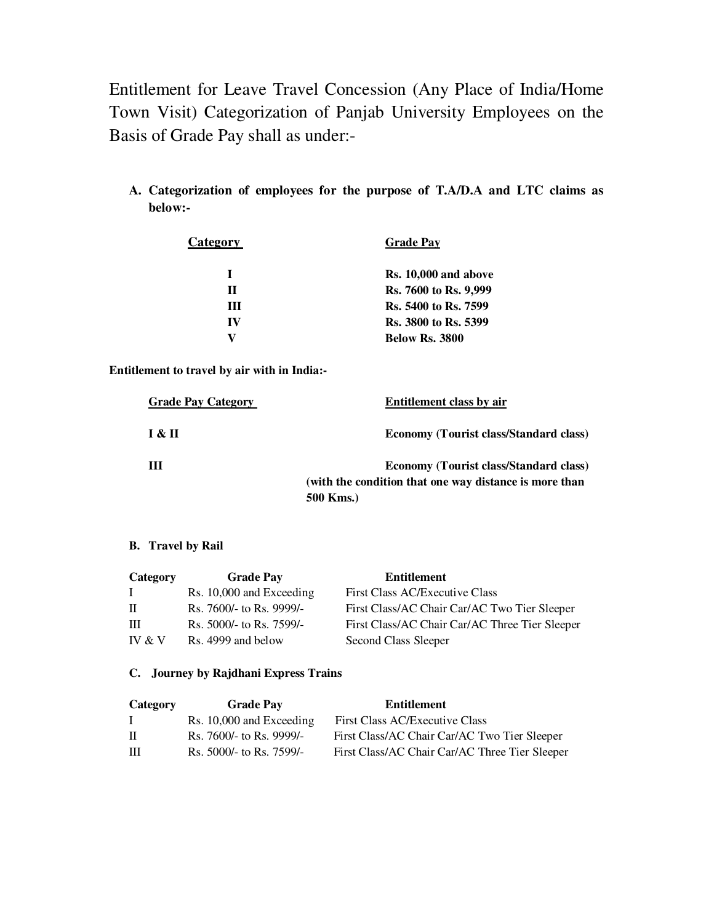Entitlement for Leave Travel Concession (Any Place of India/Home Town Visit) Categorization of Panjab University Employees on the Basis of Grade Pay shall as under:-

**A. Categorization of employees for the purpose of T.A/D.A and LTC claims as below:-** 

| <b>Category</b> | <b>Grade Pay</b>      |
|-----------------|-----------------------|
|                 | Rs. 10,000 and above  |
| П               | Rs. 7600 to Rs. 9,999 |
| Ш               | Rs. 5400 to Rs. 7599  |
| IV              | Rs. 3800 to Rs. 5399  |
|                 | <b>Below Rs. 3800</b> |

**Entitlement to travel by air with in India:-** 

| <b>Grade Pay Category</b> | Entitlement class by air                                                                                             |
|---------------------------|----------------------------------------------------------------------------------------------------------------------|
| I & II                    | <b>Economy (Tourist class/Standard class)</b>                                                                        |
| Ш                         | <b>Economy (Tourist class/Standard class)</b><br>(with the condition that one way distance is more than<br>500 Kms.) |

## **B. Travel by Rail**

| Category     | <b>Grade Pay</b>           | <b>Entitlement</b>                             |
|--------------|----------------------------|------------------------------------------------|
| $\mathbf{L}$ | $Rs. 10,000$ and Exceeding | First Class AC/Executive Class                 |
| $\Pi$        | Rs. 7600/- to Rs. 9999/-   | First Class/AC Chair Car/AC Two Tier Sleeper   |
| Ш            | Rs. 5000/- to Rs. 7599/-   | First Class/AC Chair Car/AC Three Tier Sleeper |
| IV $&$ V     | Rs. 4999 and below         | Second Class Sleeper                           |

## **C. Journey by Rajdhani Express Trains**

| Category | <b>Grade Pay</b>         | <b>Entitlement</b>                             |
|----------|--------------------------|------------------------------------------------|
|          | Rs. 10,000 and Exceeding | First Class AC/Executive Class                 |
| П.       | Rs. 7600/- to Rs. 9999/- | First Class/AC Chair Car/AC Two Tier Sleeper   |
| HН       | Rs. 5000/- to Rs. 7599/- | First Class/AC Chair Car/AC Three Tier Sleeper |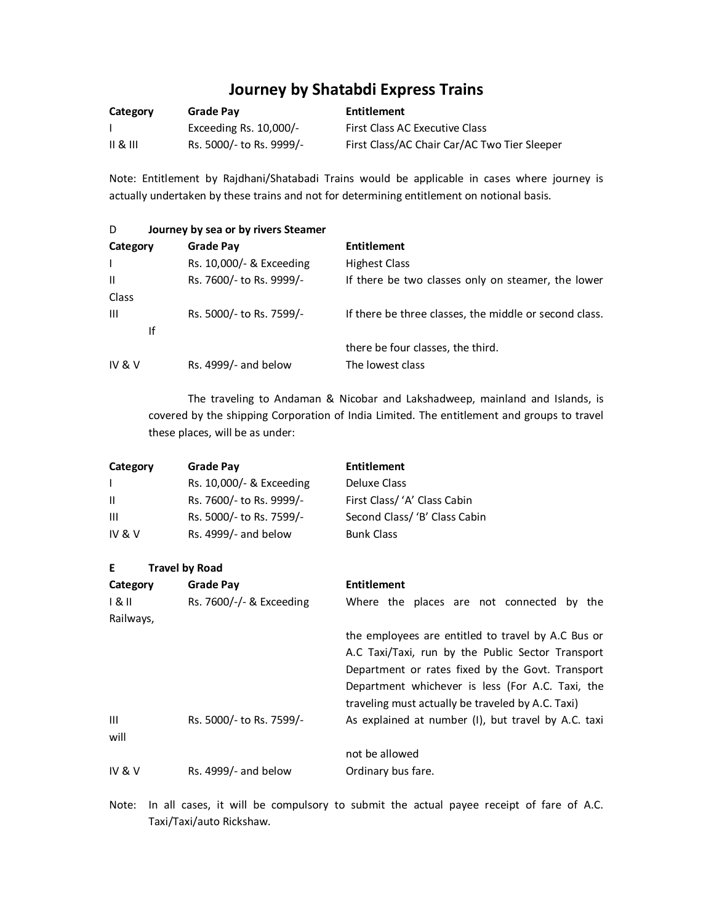# **Journey by Shatabdi Express Trains**

| Category | Grade Pay                 | Entitlement                                  |
|----------|---------------------------|----------------------------------------------|
|          | Exceeding Rs. $10,000$ /- | First Class AC Executive Class               |
| 11 & 111 | Rs. 5000/- to Rs. 9999/-  | First Class/AC Chair Car/AC Two Tier Sleeper |

Note: Entitlement by Rajdhani/Shatabadi Trains would be applicable in cases where journey is actually undertaken by these trains and not for determining entitlement on notional basis.

| D                 |    | Journey by sea or by rivers Steamer |                                                        |
|-------------------|----|-------------------------------------|--------------------------------------------------------|
| Category          |    | <b>Grade Pay</b>                    | <b>Entitlement</b>                                     |
|                   |    | Rs. 10,000/- & Exceeding            | <b>Highest Class</b>                                   |
| $\mathbf{H}$      |    | Rs. 7600/- to Rs. 9999/-            | If there be two classes only on steamer, the lower     |
| Class             |    |                                     |                                                        |
| Ш                 |    | Rs. 5000/- to Rs. 7599/-            | If there be three classes, the middle or second class. |
|                   | Ιf |                                     |                                                        |
|                   |    |                                     | there be four classes, the third.                      |
| <b>IV &amp; V</b> |    | Rs. $4999/-$ and below              | The lowest class                                       |

 The traveling to Andaman & Nicobar and Lakshadweep, mainland and Islands, is covered by the shipping Corporation of India Limited. The entitlement and groups to travel these places, will be as under:

| Category     | <b>Grade Pay</b>           | <b>Entitlement</b>                                  |
|--------------|----------------------------|-----------------------------------------------------|
| $\mathsf{I}$ | Rs. 10,000/- & Exceeding   | Deluxe Class                                        |
| Ш            | Rs. 7600/- to Rs. 9999/-   | First Class/ 'A' Class Cabin                        |
| Ш            | Rs. 5000/- to Rs. 7599/-   | Second Class/ 'B' Class Cabin                       |
| IV & $V$     | Rs. 4999/- and below       | <b>Bunk Class</b>                                   |
| Е            | <b>Travel by Road</b>      |                                                     |
| Category     | <b>Grade Pay</b>           | <b>Entitlement</b>                                  |
| 1 & II       | Rs. $7600/-/-$ & Exceeding | Where the places are not connected by the           |
| Railways,    |                            |                                                     |
|              |                            | the employees are entitled to travel by A.C Bus or  |
|              |                            | A.C Taxi/Taxi, run by the Public Sector Transport   |
|              |                            | Department or rates fixed by the Govt. Transport    |
|              |                            | Department whichever is less (For A.C. Taxi, the    |
|              |                            | traveling must actually be traveled by A.C. Taxi)   |
| Ш            | Rs. 5000/- to Rs. 7599/-   | As explained at number (I), but travel by A.C. taxi |
| will         |                            |                                                     |
|              |                            | not be allowed                                      |
| IV & $V$     | Rs. 4999/- and below       | Ordinary bus fare.                                  |

Note: In all cases, it will be compulsory to submit the actual payee receipt of fare of A.C. Taxi/Taxi/auto Rickshaw.